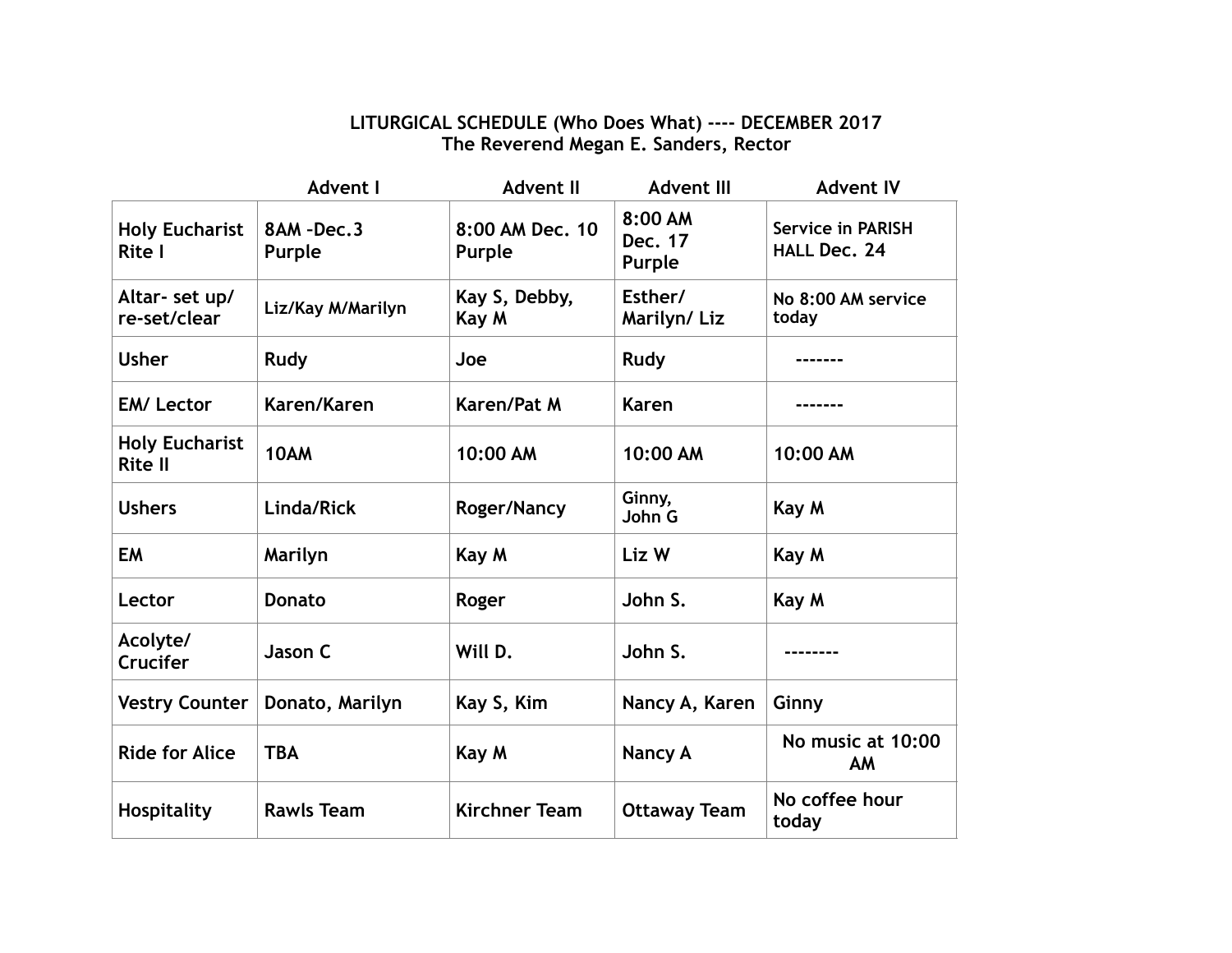## **LITURGICAL SCHEDULE (Who Does What) ---- DECEMBER 2017 The Reverend Megan E. Sanders, Rector**

|                                         | <b>Advent I</b>     | <b>Advent II</b>          | <b>Advent III</b>            | <b>Advent IV</b>                                |
|-----------------------------------------|---------------------|---------------------------|------------------------------|-------------------------------------------------|
| <b>Holy Eucharist</b><br><b>Rite I</b>  | 8AM-Dec.3<br>Purple | 8:00 AM Dec. 10<br>Purple | 8:00 AM<br>Dec. 17<br>Purple | <b>Service in PARISH</b><br><b>HALL Dec. 24</b> |
| Altar- set up/<br>re-set/clear          | Liz/Kay M/Marilyn   | Kay S, Debby,<br>Kay M    | Esther/<br>Marilyn/Liz       | No 8:00 AM service<br>today                     |
| <b>Usher</b>                            | Rudy                | Joe                       | Rudy                         |                                                 |
| <b>EM/Lector</b>                        | Karen/Karen         | Karen/Pat M               | Karen                        |                                                 |
| <b>Holy Eucharist</b><br><b>Rite II</b> | 10AM                | 10:00 AM                  | 10:00 AM                     | 10:00 AM                                        |
| <b>Ushers</b>                           | Linda/Rick          | <b>Roger/Nancy</b>        | Ginny,<br>John G             | Kay M                                           |
| <b>EM</b>                               | Marilyn             | Kay M                     | Liz W                        | Kay M                                           |
| Lector                                  | <b>Donato</b>       | Roger                     | John S.                      | Kay M                                           |
| Acolyte/<br><b>Crucifer</b>             | Jason C             | Will D.                   | John S.                      |                                                 |
| <b>Vestry Counter</b>                   | Donato, Marilyn     | Kay S, Kim                | Nancy A, Karen               | Ginny                                           |
| <b>Ride for Alice</b>                   | <b>TBA</b>          | Kay M                     | <b>Nancy A</b>               | No music at 10:00<br>AM                         |
| Hospitality                             | <b>Rawls Team</b>   | <b>Kirchner Team</b>      | <b>Ottaway Team</b>          | No coffee hour<br>today                         |